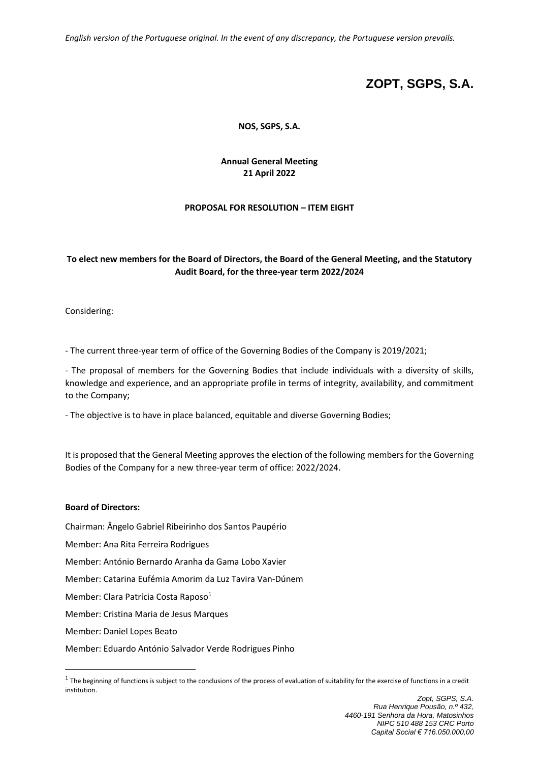*English version of the Portuguese original. In the event of any discrepancy, the Portuguese version prevails.*

# **ZOPT, SGPS, S.A.**

**NOS, SGPS, S.A.**

**Annual General Meeting 21 April 2022**

## **PROPOSAL FOR RESOLUTION – ITEM EIGHT**

## **To elect new members for the Board of Directors, the Board of the General Meeting, and the Statutory Audit Board, for the three-year term 2022/2024**

Considering:

- The current three-year term of office of the Governing Bodies of the Company is 2019/2021;

- The proposal of members for the Governing Bodies that include individuals with a diversity of skills, knowledge and experience, and an appropriate profile in terms of integrity, availability, and commitment to the Company;

- The objective is to have in place balanced, equitable and diverse Governing Bodies;

It is proposed that the General Meeting approves the election of the following members for the Governing Bodies of the Company for a new three-year term of office: 2022/2024.

#### **Board of Directors:**

Chairman: Ângelo Gabriel Ribeirinho dos Santos Paupério

Member: Ana Rita Ferreira Rodrigues

Member: António Bernardo Aranha da Gama Lobo Xavier

Member: Catarina Eufémia Amorim da Luz Tavira Van-Dúnem

Member: Clara Patrícia Costa Raposo<sup>1</sup>

Member: Cristina Maria de Jesus Marques

Member: Daniel Lopes Beato

Member: Eduardo António Salvador Verde Rodrigues Pinho

 $1$  The beginning of functions is subject to the conclusions of the process of evaluation of suitability for the exercise of functions in a credit institution.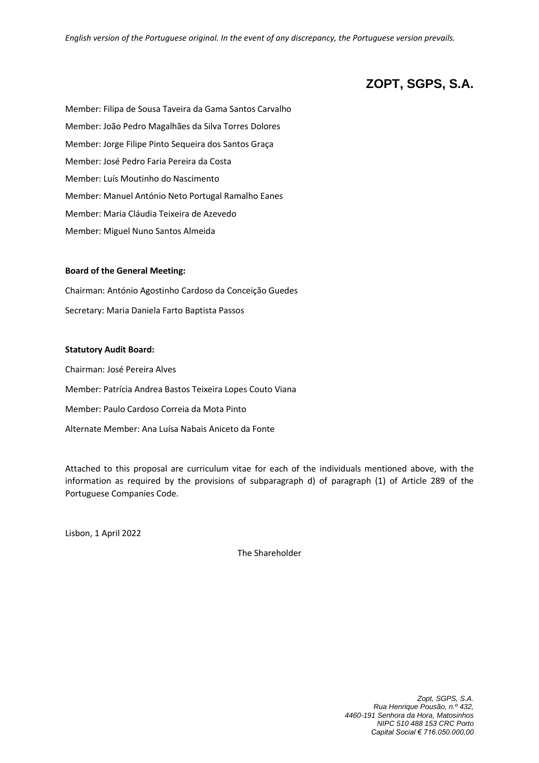*English version of the Portuguese original. In the event of any discrepancy, the Portuguese version prevails.*

# **ZOPT, SGPS, S.A.**

Member: Filipa de Sousa Taveira da Gama Santos Carvalho Member: João Pedro Magalhães da Silva Torres Dolores Member: Jorge Filipe Pinto Sequeira dos Santos Graça Member: José Pedro Faria Pereira da Costa Member: Luís Moutinho do Nascimento Member: Manuel António Neto Portugal Ramalho Eanes Member: Maria Cláudia Teixeira de Azevedo Member: Miguel Nuno Santos Almeida

#### **Board of the General Meeting:**

Chairman: António Agostinho Cardoso da Conceição Guedes Secretary: Maria Daniela Farto Baptista Passos

#### **Statutory Audit Board:**

Chairman: José Pereira Alves Member: Patrícia Andrea Bastos Teixeira Lopes Couto Viana Member: Paulo Cardoso Correia da Mota Pinto Alternate Member: Ana Luísa Nabais Aniceto da Fonte

Attached to this proposal are curriculum vitae for each of the individuals mentioned above, with the information as required by the provisions of subparagraph d) of paragraph (1) of Article 289 of the Portuguese Companies Code.

Lisbon, 1 April 2022

The Shareholder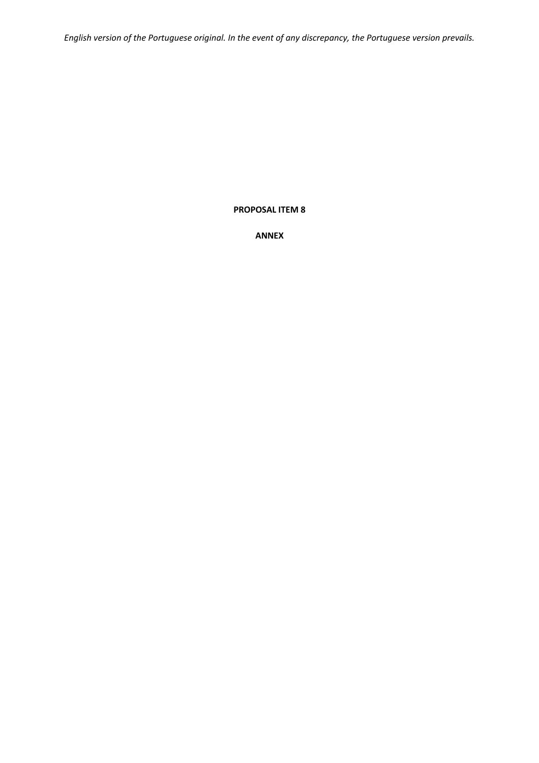*English version of the Portuguese original. In the event of any discrepancy, the Portuguese version prevails.*

## **PROPOSAL ITEM 8**

**ANNEX**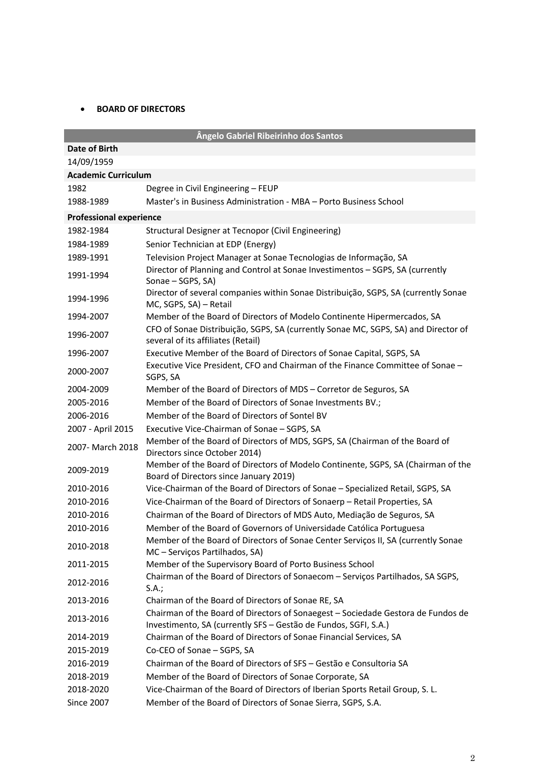## • **BOARD OF DIRECTORS**

|                                | Ângelo Gabriel Ribeirinho dos Santos                                                                                                                |
|--------------------------------|-----------------------------------------------------------------------------------------------------------------------------------------------------|
| Date of Birth                  |                                                                                                                                                     |
| 14/09/1959                     |                                                                                                                                                     |
| <b>Academic Curriculum</b>     |                                                                                                                                                     |
| 1982                           | Degree in Civil Engineering - FEUP                                                                                                                  |
| 1988-1989                      | Master's in Business Administration - MBA - Porto Business School                                                                                   |
| <b>Professional experience</b> |                                                                                                                                                     |
| 1982-1984                      | Structural Designer at Tecnopor (Civil Engineering)                                                                                                 |
| 1984-1989                      | Senior Technician at EDP (Energy)                                                                                                                   |
| 1989-1991                      | Television Project Manager at Sonae Tecnologias de Informação, SA                                                                                   |
| 1991-1994                      | Director of Planning and Control at Sonae Investimentos - SGPS, SA (currently<br>Sonae - SGPS, SA)                                                  |
| 1994-1996                      | Director of several companies within Sonae Distribuição, SGPS, SA (currently Sonae<br>MC, SGPS, SA) - Retail                                        |
| 1994-2007                      | Member of the Board of Directors of Modelo Continente Hipermercados, SA                                                                             |
| 1996-2007                      | CFO of Sonae Distribuição, SGPS, SA (currently Sonae MC, SGPS, SA) and Director of<br>several of its affiliates (Retail)                            |
| 1996-2007                      | Executive Member of the Board of Directors of Sonae Capital, SGPS, SA                                                                               |
| 2000-2007                      | Executive Vice President, CFO and Chairman of the Finance Committee of Sonae -<br>SGPS, SA                                                          |
| 2004-2009                      | Member of the Board of Directors of MDS - Corretor de Seguros, SA                                                                                   |
| 2005-2016                      | Member of the Board of Directors of Sonae Investments BV.;                                                                                          |
| 2006-2016                      | Member of the Board of Directors of Sontel BV                                                                                                       |
| 2007 - April 2015              | Executive Vice-Chairman of Sonae - SGPS, SA                                                                                                         |
| 2007- March 2018               | Member of the Board of Directors of MDS, SGPS, SA (Chairman of the Board of<br>Directors since October 2014)                                        |
| 2009-2019                      | Member of the Board of Directors of Modelo Continente, SGPS, SA (Chairman of the<br>Board of Directors since January 2019)                          |
| 2010-2016                      | Vice-Chairman of the Board of Directors of Sonae - Specialized Retail, SGPS, SA                                                                     |
| 2010-2016                      | Vice-Chairman of the Board of Directors of Sonaerp - Retail Properties, SA                                                                          |
| 2010-2016                      | Chairman of the Board of Directors of MDS Auto, Mediação de Seguros, SA                                                                             |
| 2010-2016                      | Member of the Board of Governors of Universidade Católica Portuguesa                                                                                |
| 2010-2018                      | Member of the Board of Directors of Sonae Center Serviços II, SA (currently Sonae<br>MC - Serviços Partilhados, SA)                                 |
| 2011-2015                      | Member of the Supervisory Board of Porto Business School                                                                                            |
| 2012-2016                      | Chairman of the Board of Directors of Sonaecom - Serviços Partilhados, SA SGPS,<br>S.A.;                                                            |
| 2013-2016                      | Chairman of the Board of Directors of Sonae RE, SA                                                                                                  |
| 2013-2016                      | Chairman of the Board of Directors of Sonaegest - Sociedade Gestora de Fundos de<br>Investimento, SA (currently SFS - Gestão de Fundos, SGFI, S.A.) |
| 2014-2019                      | Chairman of the Board of Directors of Sonae Financial Services, SA                                                                                  |
| 2015-2019                      | Co-CEO of Sonae - SGPS, SA                                                                                                                          |
| 2016-2019                      | Chairman of the Board of Directors of SFS - Gestão e Consultoria SA                                                                                 |
| 2018-2019                      | Member of the Board of Directors of Sonae Corporate, SA                                                                                             |
| 2018-2020                      | Vice-Chairman of the Board of Directors of Iberian Sports Retail Group, S. L.                                                                       |
| <b>Since 2007</b>              | Member of the Board of Directors of Sonae Sierra, SGPS, S.A.                                                                                        |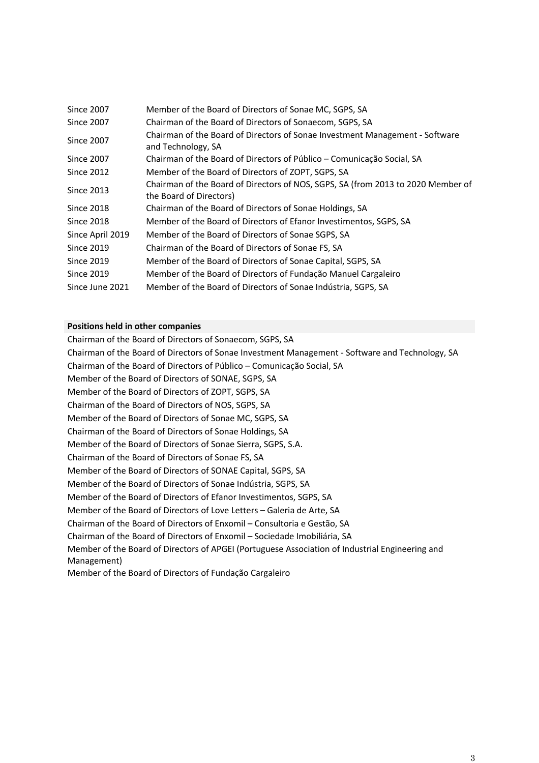| <b>Since 2007</b> | Member of the Board of Directors of Sonae MC, SGPS, SA                                                      |
|-------------------|-------------------------------------------------------------------------------------------------------------|
| <b>Since 2007</b> | Chairman of the Board of Directors of Sonaecom, SGPS, SA                                                    |
| <b>Since 2007</b> | Chairman of the Board of Directors of Sonae Investment Management - Software<br>and Technology, SA          |
| <b>Since 2007</b> | Chairman of the Board of Directors of Público - Comunicação Social, SA                                      |
| <b>Since 2012</b> | Member of the Board of Directors of ZOPT, SGPS, SA                                                          |
| <b>Since 2013</b> | Chairman of the Board of Directors of NOS, SGPS, SA (from 2013 to 2020 Member of<br>the Board of Directors) |
| <b>Since 2018</b> | Chairman of the Board of Directors of Sonae Holdings, SA                                                    |
| <b>Since 2018</b> | Member of the Board of Directors of Efanor Investimentos, SGPS, SA                                          |
| Since April 2019  | Member of the Board of Directors of Sonae SGPS, SA                                                          |
| <b>Since 2019</b> | Chairman of the Board of Directors of Sonae FS, SA                                                          |
| <b>Since 2019</b> | Member of the Board of Directors of Sonae Capital, SGPS, SA                                                 |
| <b>Since 2019</b> | Member of the Board of Directors of Fundação Manuel Cargaleiro                                              |
| Since June 2021   | Member of the Board of Directors of Sonae Indústria, SGPS, SA                                               |

Chairman of the Board of Directors of Sonaecom, SGPS, SA Chairman of the Board of Directors of Sonae Investment Management - Software and Technology, SA Chairman of the Board of Directors of Público – Comunicação Social, SA Member of the Board of Directors of SONAE, SGPS, SA Member of the Board of Directors of ZOPT, SGPS, SA Chairman of the Board of Directors of NOS, SGPS, SA Member of the Board of Directors of Sonae MC, SGPS, SA Chairman of the Board of Directors of Sonae Holdings, SA Member of the Board of Directors of Sonae Sierra, SGPS, S.A. Chairman of the Board of Directors of Sonae FS, SA Member of the Board of Directors of SONAE Capital, SGPS, SA Member of the Board of Directors of Sonae Indústria, SGPS, SA Member of the Board of Directors of Efanor Investimentos, SGPS, SA Member of the Board of Directors of Love Letters – Galeria de Arte, SA Chairman of the Board of Directors of Enxomil – Consultoria e Gestão, SA Chairman of the Board of Directors of Enxomil – Sociedade Imobiliária, SA Member of the Board of Directors of APGEI (Portuguese Association of Industrial Engineering and Management) Member of the Board of Directors of Fundação Cargaleiro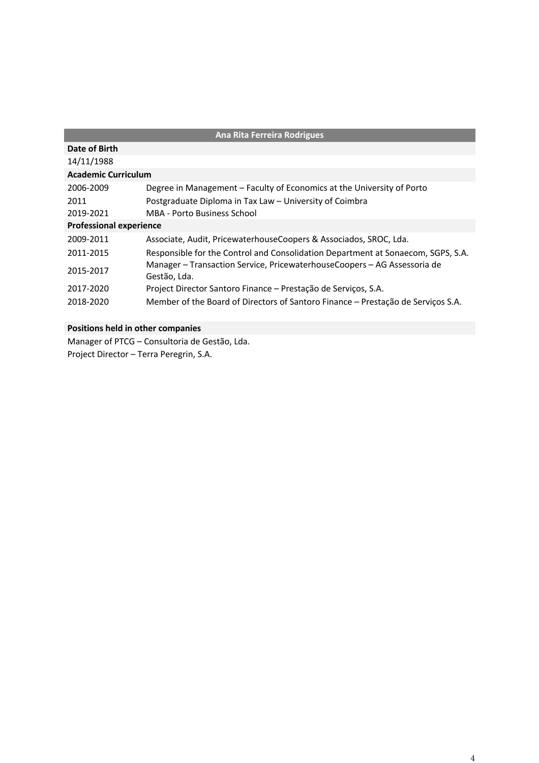| <b>Ana Rita Ferreira Rodrigues</b> |                                                                                          |  |
|------------------------------------|------------------------------------------------------------------------------------------|--|
| Date of Birth                      |                                                                                          |  |
| 14/11/1988                         |                                                                                          |  |
| <b>Academic Curriculum</b>         |                                                                                          |  |
| 2006-2009                          | Degree in Management - Faculty of Economics at the University of Porto                   |  |
| 2011                               | Postgraduate Diploma in Tax Law - University of Coimbra                                  |  |
| 2019-2021                          | <b>MBA - Porto Business School</b>                                                       |  |
| <b>Professional experience</b>     |                                                                                          |  |
| 2009-2011                          | Associate, Audit, PricewaterhouseCoopers & Associados, SROC, Lda.                        |  |
| 2011-2015                          | Responsible for the Control and Consolidation Department at Sonaecom, SGPS, S.A.         |  |
| 2015-2017                          | Manager – Transaction Service, PricewaterhouseCoopers – AG Assessoria de<br>Gestão, Lda. |  |
| 2017-2020                          | Project Director Santoro Finance – Prestação de Serviços, S.A.                           |  |
| 2018-2020                          | Member of the Board of Directors of Santoro Finance - Prestação de Serviços S.A.         |  |

Manager of PTCG – Consultoria de Gestão, Lda. Project Director – Terra Peregrin, S.A.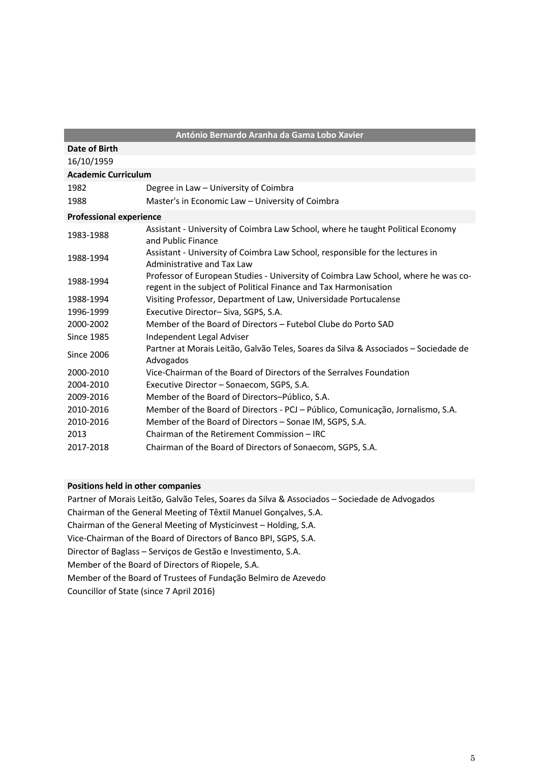|                                | António Bernardo Aranha da Gama Lobo Xavier                                                                                                            |
|--------------------------------|--------------------------------------------------------------------------------------------------------------------------------------------------------|
| Date of Birth                  |                                                                                                                                                        |
| 16/10/1959                     |                                                                                                                                                        |
| <b>Academic Curriculum</b>     |                                                                                                                                                        |
| 1982                           | Degree in Law - University of Coimbra                                                                                                                  |
| 1988                           | Master's in Economic Law - University of Coimbra                                                                                                       |
| <b>Professional experience</b> |                                                                                                                                                        |
| 1983-1988                      | Assistant - University of Coimbra Law School, where he taught Political Economy<br>and Public Finance                                                  |
| 1988-1994                      | Assistant - University of Coimbra Law School, responsible for the lectures in<br>Administrative and Tax Law                                            |
| 1988-1994                      | Professor of European Studies - University of Coimbra Law School, where he was co-<br>regent in the subject of Political Finance and Tax Harmonisation |
| 1988-1994                      | Visiting Professor, Department of Law, Universidade Portucalense                                                                                       |
| 1996-1999                      | Executive Director-Siva, SGPS, S.A.                                                                                                                    |
| 2000-2002                      | Member of the Board of Directors - Futebol Clube do Porto SAD                                                                                          |
| <b>Since 1985</b>              | Independent Legal Adviser                                                                                                                              |
| <b>Since 2006</b>              | Partner at Morais Leitão, Galvão Teles, Soares da Silva & Associados - Sociedade de<br>Advogados                                                       |
| 2000-2010                      | Vice-Chairman of the Board of Directors of the Serralves Foundation                                                                                    |
| 2004-2010                      | Executive Director - Sonaecom, SGPS, S.A.                                                                                                              |
| 2009-2016                      | Member of the Board of Directors-Público, S.A.                                                                                                         |
| 2010-2016                      | Member of the Board of Directors - PCJ - Público, Comunicação, Jornalismo, S.A.                                                                        |
| 2010-2016                      | Member of the Board of Directors - Sonae IM, SGPS, S.A.                                                                                                |
| 2013                           | Chairman of the Retirement Commission - IRC                                                                                                            |
| 2017-2018                      | Chairman of the Board of Directors of Sonaecom, SGPS, S.A.                                                                                             |

Partner of Morais Leitão, Galvão Teles, Soares da Silva & Associados – Sociedade de Advogados Chairman of the General Meeting of Têxtil Manuel Gonçalves, S.A. Chairman of the General Meeting of Mysticinvest – Holding, S.A. Vice-Chairman of the Board of Directors of Banco BPI, SGPS, S.A. Director of Baglass – Serviços de Gestão e Investimento, S.A. Member of the Board of Directors of Riopele, S.A. Member of the Board of Trustees of Fundação Belmiro de Azevedo Councillor of State (since 7 April 2016)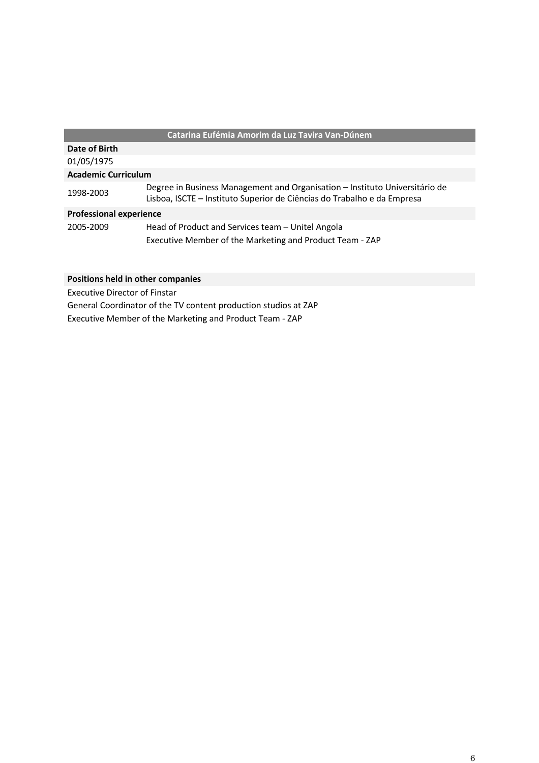## **Catarina Eufémia Amorim da Luz Tavira Van-Dúnem**

| Date of Birth                  |                                                                                                                                                        |  |
|--------------------------------|--------------------------------------------------------------------------------------------------------------------------------------------------------|--|
| 01/05/1975                     |                                                                                                                                                        |  |
| <b>Academic Curriculum</b>     |                                                                                                                                                        |  |
| 1998-2003                      | Degree in Business Management and Organisation - Instituto Universitário de<br>Lisboa, ISCTE - Instituto Superior de Ciências do Trabalho e da Empresa |  |
| <b>Professional experience</b> |                                                                                                                                                        |  |
| 2005-2009                      | Head of Product and Services team - Unitel Angola<br>Executive Member of the Marketing and Product Team - ZAP                                          |  |

## **Positions held in other companies**

Executive Director of Finstar

General Coordinator of the TV content production studios at ZAP Executive Member of the Marketing and Product Team - ZAP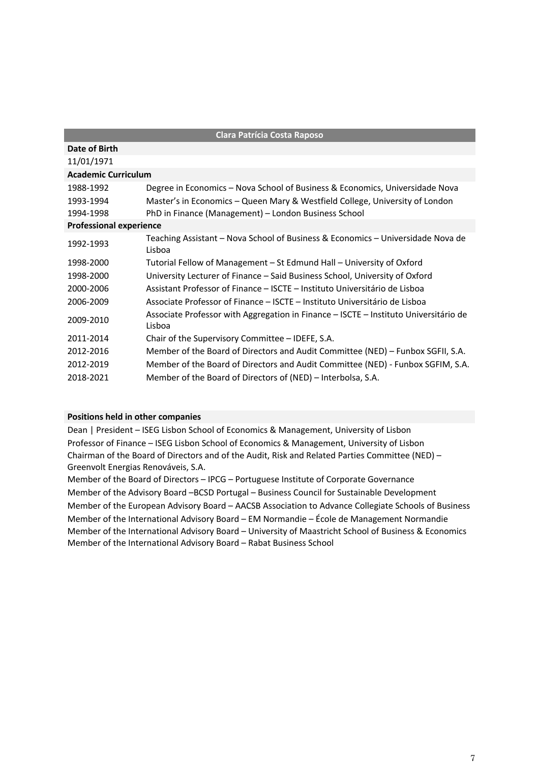| <b>Clara Patrícia Costa Raposo</b> |                                                                                                |
|------------------------------------|------------------------------------------------------------------------------------------------|
| Date of Birth                      |                                                                                                |
| 11/01/1971                         |                                                                                                |
| <b>Academic Curriculum</b>         |                                                                                                |
| 1988-1992                          | Degree in Economics - Nova School of Business & Economics, Universidade Nova                   |
| 1993-1994                          | Master's in Economics - Queen Mary & Westfield College, University of London                   |
| 1994-1998                          | PhD in Finance (Management) - London Business School                                           |
| <b>Professional experience</b>     |                                                                                                |
| 1992-1993                          | Teaching Assistant - Nova School of Business & Economics - Universidade Nova de<br>Lisboa      |
| 1998-2000                          | Tutorial Fellow of Management – St Edmund Hall – University of Oxford                          |
| 1998-2000                          | University Lecturer of Finance - Said Business School, University of Oxford                    |
| 2000-2006                          | Assistant Professor of Finance – ISCTE – Instituto Universitário de Lisboa                     |
| 2006-2009                          | Associate Professor of Finance – ISCTE – Instituto Universitário de Lisboa                     |
| 2009-2010                          | Associate Professor with Aggregation in Finance – ISCTE – Instituto Universitário de<br>Lisboa |
| 2011-2014                          | Chair of the Supervisory Committee - IDEFE, S.A.                                               |
| 2012-2016                          | Member of the Board of Directors and Audit Committee (NED) - Funbox SGFII, S.A.                |
| 2012-2019                          | Member of the Board of Directors and Audit Committee (NED) - Funbox SGFIM, S.A.                |
| 2018-2021                          | Member of the Board of Directors of (NED) – Interbolsa, S.A.                                   |

Dean | President – ISEG Lisbon School of Economics & Management, University of Lisbon Professor of Finance – ISEG Lisbon School of Economics & Management, University of Lisbon Chairman of the Board of Directors and of the Audit, Risk and Related Parties Committee (NED) – Greenvolt Energias Renováveis, S.A.

Member of the Board of Directors – IPCG – Portuguese Institute of Corporate Governance Member of the Advisory Board –BCSD Portugal – Business Council for Sustainable Development Member of the European Advisory Board – AACSB Association to Advance Collegiate Schools of Business Member of the International Advisory Board – EM Normandie – École de Management Normandie Member of the International Advisory Board – University of Maastricht School of Business & Economics Member of the International Advisory Board – Rabat Business School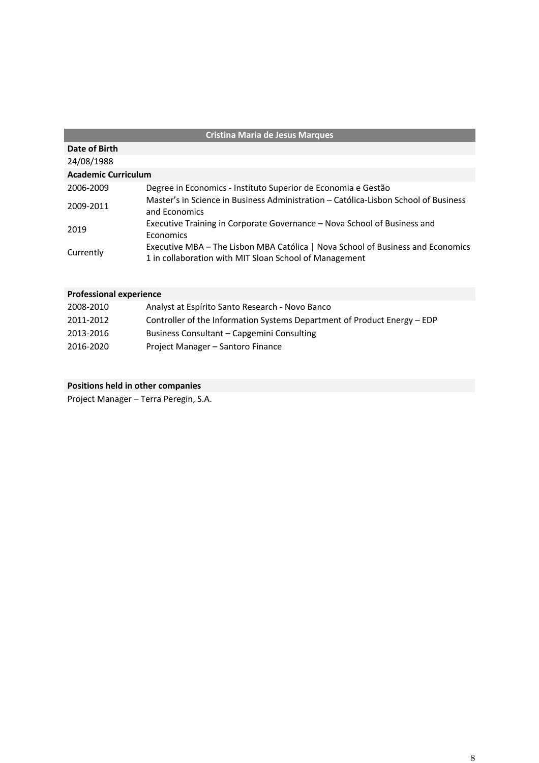| <b>Cristina Maria de Jesus Marques</b> |                                                                                                                                           |  |
|----------------------------------------|-------------------------------------------------------------------------------------------------------------------------------------------|--|
| Date of Birth                          |                                                                                                                                           |  |
| 24/08/1988                             |                                                                                                                                           |  |
| <b>Academic Curriculum</b>             |                                                                                                                                           |  |
| 2006-2009                              | Degree in Economics - Instituto Superior de Economia e Gestão                                                                             |  |
| 2009-2011                              | Master's in Science in Business Administration – Católica-Lisbon School of Business<br>and Economics                                      |  |
| 2019                                   | Executive Training in Corporate Governance - Nova School of Business and<br>Economics                                                     |  |
| Currently                              | Executive MBA - The Lisbon MBA Católica   Nova School of Business and Economics<br>1 in collaboration with MIT Sloan School of Management |  |

| 2008-2010 | Analyst at Espírito Santo Research - Novo Banco                          |
|-----------|--------------------------------------------------------------------------|
| 2011-2012 | Controller of the Information Systems Department of Product Energy - EDP |
| 2013-2016 | Business Consultant – Capgemini Consulting                               |
| 2016-2020 | Project Manager – Santoro Finance                                        |

Project Manager – Terra Peregin, S.A.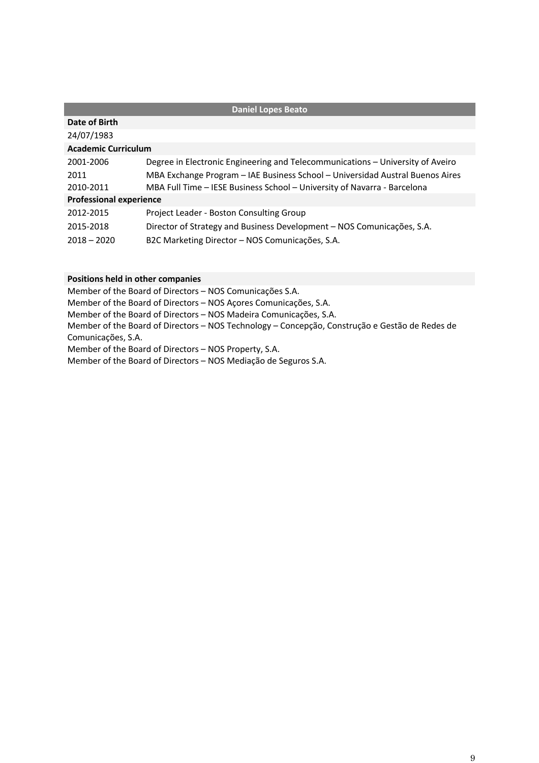| <b>Daniel Lopes Beato</b>      |                                                                                |  |
|--------------------------------|--------------------------------------------------------------------------------|--|
| Date of Birth                  |                                                                                |  |
| 24/07/1983                     |                                                                                |  |
| <b>Academic Curriculum</b>     |                                                                                |  |
| 2001-2006                      | Degree in Electronic Engineering and Telecommunications – University of Aveiro |  |
| 2011                           | MBA Exchange Program - IAE Business School - Universidad Austral Buenos Aires  |  |
| 2010-2011                      | MBA Full Time - IESE Business School - University of Navarra - Barcelona       |  |
| <b>Professional experience</b> |                                                                                |  |
| 2012-2015                      | Project Leader - Boston Consulting Group                                       |  |
| 2015-2018                      | Director of Strategy and Business Development - NOS Comunicações, S.A.         |  |
| $2018 - 2020$                  | B2C Marketing Director - NOS Comunicações, S.A.                                |  |

Member of the Board of Directors – NOS Comunicações S.A. Member of the Board of Directors – NOS Açores Comunicações, S.A. Member of the Board of Directors – NOS Madeira Comunicações, S.A. Member of the Board of Directors – NOS Technology – Concepção, Construção e Gestão de Redes de Comunicações, S.A. Member of the Board of Directors – NOS Property, S.A. Member of the Board of Directors – NOS Mediação de Seguros S.A.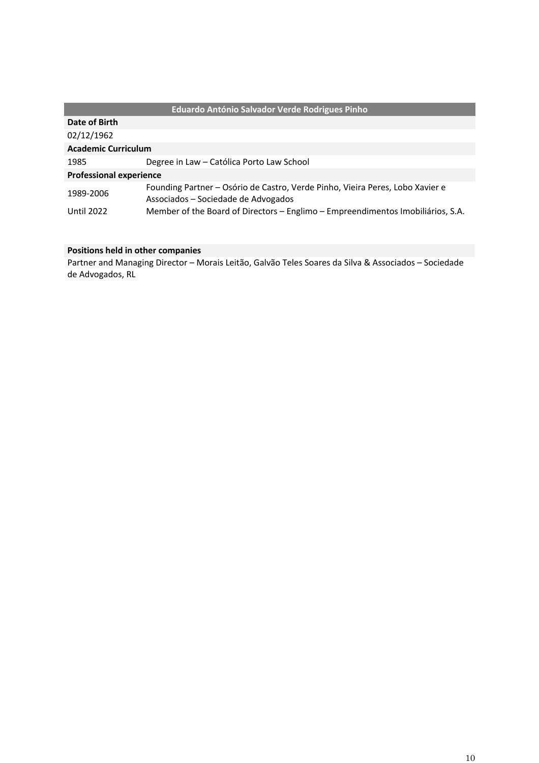|                                | Eduardo António Salvador Verde Rodrigues Pinho                                                                       |  |
|--------------------------------|----------------------------------------------------------------------------------------------------------------------|--|
| Date of Birth                  |                                                                                                                      |  |
| 02/12/1962                     |                                                                                                                      |  |
| <b>Academic Curriculum</b>     |                                                                                                                      |  |
| 1985                           | Degree in Law - Católica Porto Law School                                                                            |  |
| <b>Professional experience</b> |                                                                                                                      |  |
| 1989-2006                      | Founding Partner - Osório de Castro, Verde Pinho, Vieira Peres, Lobo Xavier e<br>Associados - Sociedade de Advogados |  |
| Until 2022                     | Member of the Board of Directors - Englimo - Empreendimentos Imobiliários, S.A.                                      |  |

Partner and Managing Director – Morais Leitão, Galvão Teles Soares da Silva & Associados – Sociedade de Advogados, RL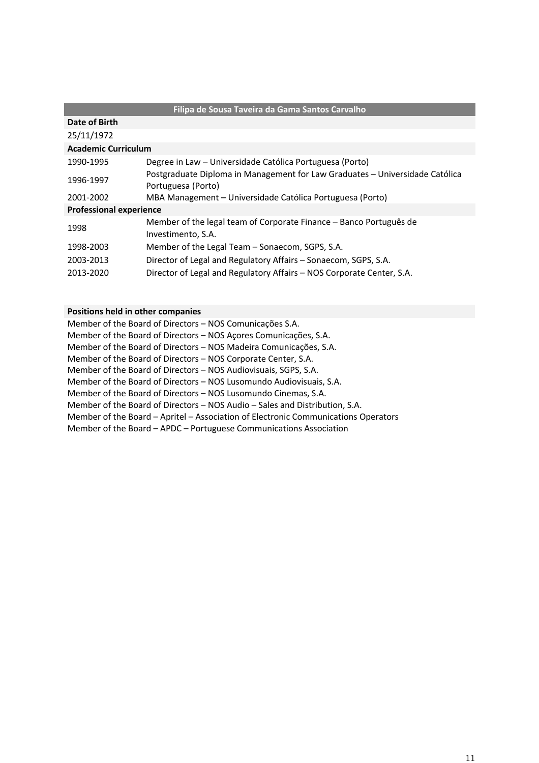|                                | Filipa de Sousa Taveira da Gama Santos Carvalho                                                    |  |
|--------------------------------|----------------------------------------------------------------------------------------------------|--|
| Date of Birth                  |                                                                                                    |  |
| 25/11/1972                     |                                                                                                    |  |
| <b>Academic Curriculum</b>     |                                                                                                    |  |
| 1990-1995                      | Degree in Law – Universidade Católica Portuguesa (Porto)                                           |  |
| 1996-1997                      | Postgraduate Diploma in Management for Law Graduates – Universidade Católica<br>Portuguesa (Porto) |  |
| 2001-2002                      | MBA Management – Universidade Católica Portuguesa (Porto)                                          |  |
| <b>Professional experience</b> |                                                                                                    |  |
| 1998                           | Member of the legal team of Corporate Finance – Banco Português de<br>Investimento, S.A.           |  |
| 1998-2003                      | Member of the Legal Team – Sonaecom, SGPS, S.A.                                                    |  |
| 2003-2013                      | Director of Legal and Regulatory Affairs - Sonaecom, SGPS, S.A.                                    |  |
| 2013-2020                      | Director of Legal and Regulatory Affairs - NOS Corporate Center, S.A.                              |  |

| Member of the Board of Directors - NOS Comunicações S.A.                           |
|------------------------------------------------------------------------------------|
| Member of the Board of Directors - NOS Açores Comunicações, S.A.                   |
| Member of the Board of Directors – NOS Madeira Comunicações, S.A.                  |
| Member of the Board of Directors – NOS Corporate Center, S.A.                      |
| Member of the Board of Directors – NOS Audiovisuais, SGPS, S.A.                    |
| Member of the Board of Directors - NOS Lusomundo Audiovisuais, S.A.                |
| Member of the Board of Directors - NOS Lusomundo Cinemas, S.A.                     |
| Member of the Board of Directors - NOS Audio - Sales and Distribution, S.A.        |
| Member of the Board - Apritel - Association of Electronic Communications Operators |
| Member of the Board - APDC - Portuguese Communications Association                 |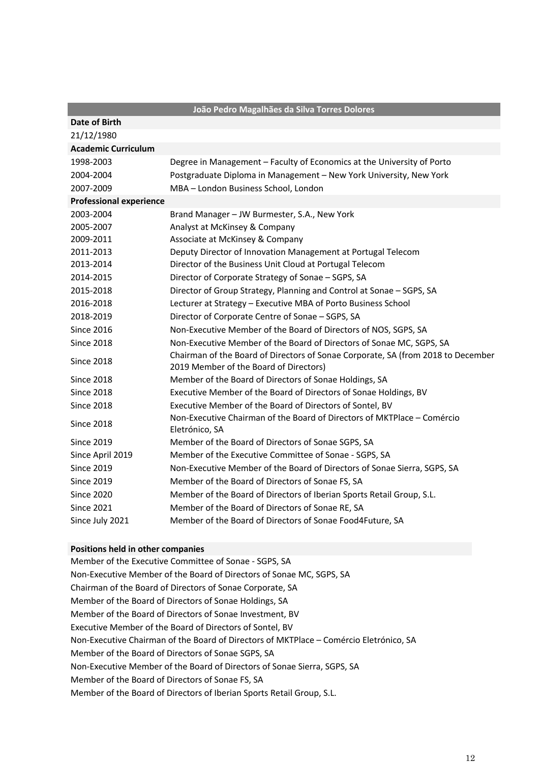|                                | João Pedro Magalhães da Silva Torres Dolores                                                                               |
|--------------------------------|----------------------------------------------------------------------------------------------------------------------------|
| Date of Birth                  |                                                                                                                            |
| 21/12/1980                     |                                                                                                                            |
| <b>Academic Curriculum</b>     |                                                                                                                            |
| 1998-2003                      | Degree in Management - Faculty of Economics at the University of Porto                                                     |
| 2004-2004                      | Postgraduate Diploma in Management - New York University, New York                                                         |
| 2007-2009                      | MBA - London Business School, London                                                                                       |
| <b>Professional experience</b> |                                                                                                                            |
| 2003-2004                      | Brand Manager - JW Burmester, S.A., New York                                                                               |
| 2005-2007                      | Analyst at McKinsey & Company                                                                                              |
| 2009-2011                      | Associate at McKinsey & Company                                                                                            |
| 2011-2013                      | Deputy Director of Innovation Management at Portugal Telecom                                                               |
| 2013-2014                      | Director of the Business Unit Cloud at Portugal Telecom                                                                    |
| 2014-2015                      | Director of Corporate Strategy of Sonae - SGPS, SA                                                                         |
| 2015-2018                      | Director of Group Strategy, Planning and Control at Sonae - SGPS, SA                                                       |
| 2016-2018                      | Lecturer at Strategy - Executive MBA of Porto Business School                                                              |
| 2018-2019                      | Director of Corporate Centre of Sonae - SGPS, SA                                                                           |
| <b>Since 2016</b>              | Non-Executive Member of the Board of Directors of NOS, SGPS, SA                                                            |
| <b>Since 2018</b>              | Non-Executive Member of the Board of Directors of Sonae MC, SGPS, SA                                                       |
| <b>Since 2018</b>              | Chairman of the Board of Directors of Sonae Corporate, SA (from 2018 to December<br>2019 Member of the Board of Directors) |
| <b>Since 2018</b>              | Member of the Board of Directors of Sonae Holdings, SA                                                                     |
| <b>Since 2018</b>              | Executive Member of the Board of Directors of Sonae Holdings, BV                                                           |
| <b>Since 2018</b>              | Executive Member of the Board of Directors of Sontel, BV                                                                   |
| <b>Since 2018</b>              | Non-Executive Chairman of the Board of Directors of MKTPlace - Comércio<br>Eletrónico, SA                                  |
| <b>Since 2019</b>              | Member of the Board of Directors of Sonae SGPS, SA                                                                         |
| Since April 2019               | Member of the Executive Committee of Sonae - SGPS, SA                                                                      |
| <b>Since 2019</b>              | Non-Executive Member of the Board of Directors of Sonae Sierra, SGPS, SA                                                   |
| <b>Since 2019</b>              | Member of the Board of Directors of Sonae FS, SA                                                                           |
| <b>Since 2020</b>              | Member of the Board of Directors of Iberian Sports Retail Group, S.L.                                                      |
| <b>Since 2021</b>              | Member of the Board of Directors of Sonae RE, SA                                                                           |
| Since July 2021                | Member of the Board of Directors of Sonae Food4Future, SA                                                                  |

Member of the Executive Committee of Sonae - SGPS, SA Non-Executive Member of the Board of Directors of Sonae MC, SGPS, SA Chairman of the Board of Directors of Sonae Corporate, SA Member of the Board of Directors of Sonae Holdings, SA Member of the Board of Directors of Sonae Investment, BV Executive Member of the Board of Directors of Sontel, BV Non-Executive Chairman of the Board of Directors of MKTPlace – Comércio Eletrónico, SA Member of the Board of Directors of Sonae SGPS, SA Non-Executive Member of the Board of Directors of Sonae Sierra, SGPS, SA Member of the Board of Directors of Sonae FS, SA Member of the Board of Directors of Iberian Sports Retail Group, S.L.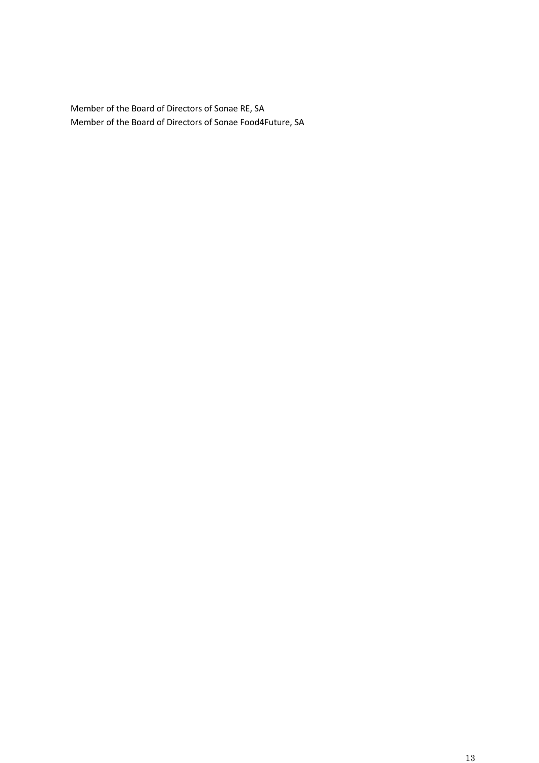Member of the Board of Directors of Sonae RE, SA Member of the Board of Directors of Sonae Food4Future, SA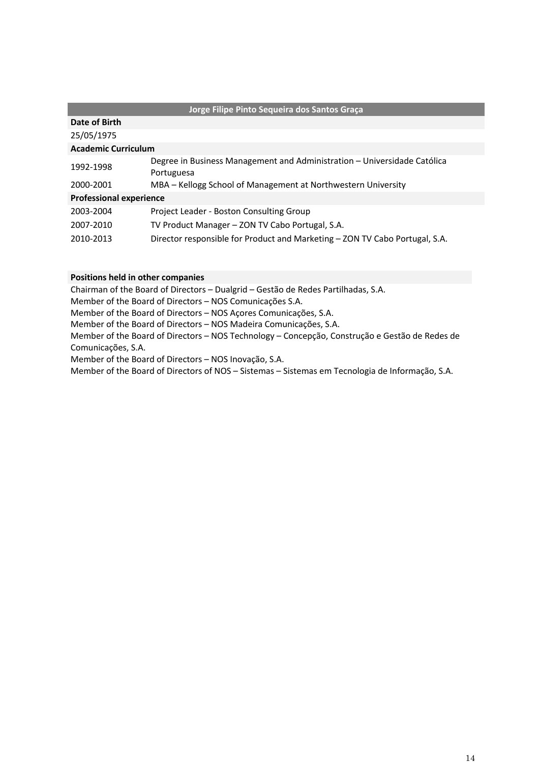| Jorge Filipe Pinto Sequeira dos Santos Graça |                                                                                        |  |
|----------------------------------------------|----------------------------------------------------------------------------------------|--|
| Date of Birth                                |                                                                                        |  |
| 25/05/1975                                   |                                                                                        |  |
| <b>Academic Curriculum</b>                   |                                                                                        |  |
| 1992-1998                                    | Degree in Business Management and Administration – Universidade Católica<br>Portuguesa |  |
| 2000-2001                                    | MBA – Kellogg School of Management at Northwestern University                          |  |
| <b>Professional experience</b>               |                                                                                        |  |
| 2003-2004                                    | Project Leader - Boston Consulting Group                                               |  |
| 2007-2010                                    | TV Product Manager - ZON TV Cabo Portugal, S.A.                                        |  |
| 2010-2013                                    | Director responsible for Product and Marketing - ZON TV Cabo Portugal, S.A.            |  |
|                                              |                                                                                        |  |

Chairman of the Board of Directors – Dualgrid – Gestão de Redes Partilhadas, S.A.

Member of the Board of Directors – NOS Comunicações S.A.

Member of the Board of Directors – NOS Açores Comunicações, S.A.

Member of the Board of Directors – NOS Madeira Comunicações, S.A.

Member of the Board of Directors – NOS Technology – Concepção, Construção e Gestão de Redes de Comunicações, S.A.

Member of the Board of Directors – NOS Inovação, S.A.

Member of the Board of Directors of NOS – Sistemas – Sistemas em Tecnologia de Informação, S.A.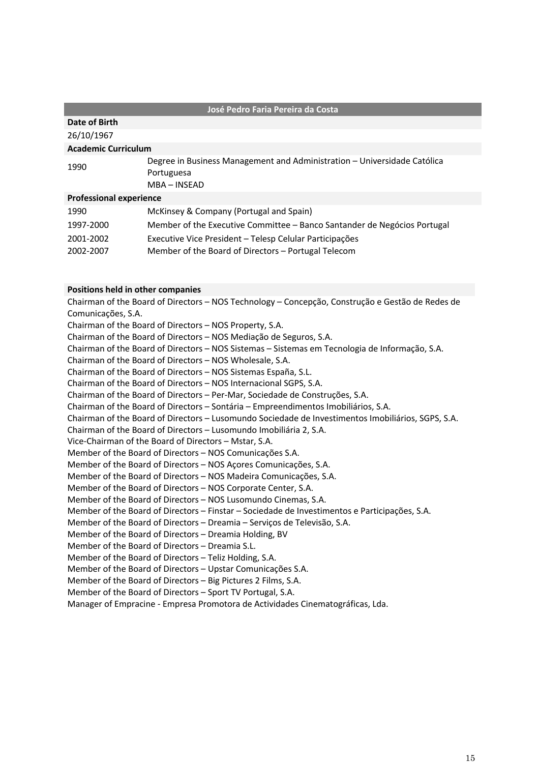#### **José Pedro Faria Pereira da Costa**

#### **Date of Birth**

26/10/1967

#### **Academic Curriculum**

| 1990 | Degree in Business Management and Administration - Universidade Católica |
|------|--------------------------------------------------------------------------|
|      | Portuguesa                                                               |
|      | MBA – INSEAD                                                             |
|      |                                                                          |

### **Professional experience**

| 1990      | McKinsey & Company (Portugal and Spain)                                  |
|-----------|--------------------------------------------------------------------------|
| 1997-2000 | Member of the Executive Committee – Banco Santander de Negócios Portugal |
| 2001-2002 | Executive Vice President – Telesp Celular Participações                  |
| 2002-2007 | Member of the Board of Directors – Portugal Telecom                      |

### **Positions held in other companies**

Chairman of the Board of Directors – NOS Technology – Concepção, Construção e Gestão de Redes de Comunicações, S.A. Chairman of the Board of Directors – NOS Property, S.A. Chairman of the Board of Directors – NOS Mediação de Seguros, S.A. Chairman of the Board of Directors – NOS Sistemas – Sistemas em Tecnologia de Informação, S.A. Chairman of the Board of Directors – NOS Wholesale, S.A. Chairman of the Board of Directors – NOS Sistemas España, S.L. Chairman of the Board of Directors – NOS Internacional SGPS, S.A. Chairman of the Board of Directors – Per-Mar, Sociedade de Construções, S.A. Chairman of the Board of Directors – Sontária – Empreendimentos Imobiliários, S.A. Chairman of the Board of Directors – Lusomundo Sociedade de Investimentos Imobiliários, SGPS, S.A. Chairman of the Board of Directors – Lusomundo Imobiliária 2, S.A. Vice-Chairman of the Board of Directors – Mstar, S.A. Member of the Board of Directors – NOS Comunicações S.A. Member of the Board of Directors – NOS Açores Comunicações, S.A. Member of the Board of Directors – NOS Madeira Comunicações, S.A. Member of the Board of Directors – NOS Corporate Center, S.A. Member of the Board of Directors – NOS Lusomundo Cinemas, S.A. Member of the Board of Directors – Finstar – Sociedade de Investimentos e Participações, S.A. Member of the Board of Directors – Dreamia – Serviços de Televisão, S.A. Member of the Board of Directors – Dreamia Holding, BV Member of the Board of Directors – Dreamia S.L. Member of the Board of Directors – Teliz Holding, S.A. Member of the Board of Directors – Upstar Comunicações S.A. Member of the Board of Directors – Big Pictures 2 Films, S.A. Member of the Board of Directors – Sport TV Portugal, S.A.

Manager of Empracine - Empresa Promotora de Actividades Cinematográficas, Lda.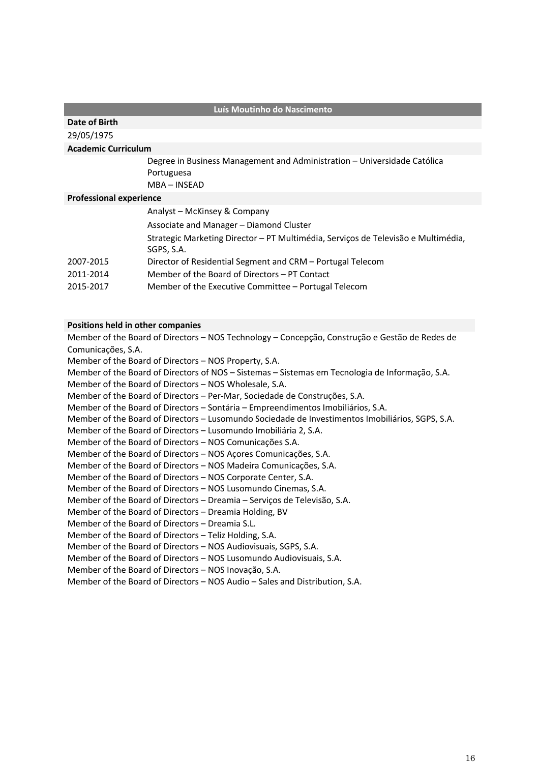#### **Luís Moutinho do Nascimento**

#### **Date of Birth**

29/05/1975

#### **Academic Curriculum**

Degree in Business Management and Administration – Universidade Católica Portuguesa MBA – INSEAD

#### **Professional experience**

|           | Analyst - McKinsey & Company                                                      |
|-----------|-----------------------------------------------------------------------------------|
|           | Associate and Manager – Diamond Cluster                                           |
|           | Strategic Marketing Director – PT Multimédia, Serviços de Televisão e Multimédia, |
|           | SGPS. S.A.                                                                        |
| 2007-2015 | Director of Residential Segment and CRM – Portugal Telecom                        |
| 2011-2014 | Member of the Board of Directors – PT Contact                                     |
| 2015-2017 | Member of the Executive Committee - Portugal Telecom                              |
|           |                                                                                   |

#### **Positions held in other companies**

Member of the Board of Directors – NOS Technology – Concepção, Construção e Gestão de Redes de Comunicações, S.A. Member of the Board of Directors – NOS Property, S.A. Member of the Board of Directors of NOS – Sistemas – Sistemas em Tecnologia de Informação, S.A. Member of the Board of Directors – NOS Wholesale, S.A. Member of the Board of Directors – Per-Mar, Sociedade de Construções, S.A. Member of the Board of Directors – Sontária – Empreendimentos Imobiliários, S.A. Member of the Board of Directors – Lusomundo Sociedade de Investimentos Imobiliários, SGPS, S.A. Member of the Board of Directors – Lusomundo Imobiliária 2, S.A. Member of the Board of Directors – NOS Comunicações S.A. Member of the Board of Directors – NOS Açores Comunicações, S.A. Member of the Board of Directors – NOS Madeira Comunicações, S.A. Member of the Board of Directors – NOS Corporate Center, S.A. Member of the Board of Directors – NOS Lusomundo Cinemas, S.A. Member of the Board of Directors – Dreamia – Serviços de Televisão, S.A. Member of the Board of Directors – Dreamia Holding, BV Member of the Board of Directors – Dreamia S.L. Member of the Board of Directors – Teliz Holding, S.A. Member of the Board of Directors – NOS Audiovisuais, SGPS, S.A. Member of the Board of Directors – NOS Lusomundo Audiovisuais, S.A. Member of the Board of Directors – NOS Inovação, S.A. Member of the Board of Directors – NOS Audio – Sales and Distribution, S.A.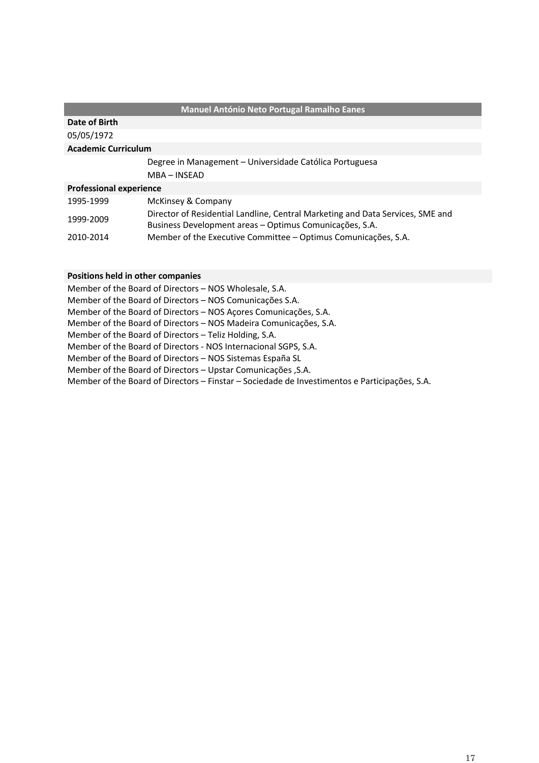|                                | <b>Manuel António Neto Portugal Ramalho Eanes</b>                                                                                         |
|--------------------------------|-------------------------------------------------------------------------------------------------------------------------------------------|
| Date of Birth                  |                                                                                                                                           |
| 05/05/1972                     |                                                                                                                                           |
| <b>Academic Curriculum</b>     |                                                                                                                                           |
|                                | Degree in Management - Universidade Católica Portuguesa                                                                                   |
|                                | MBA - INSEAD                                                                                                                              |
| <b>Professional experience</b> |                                                                                                                                           |
| 1995-1999                      | McKinsey & Company                                                                                                                        |
| 1999-2009                      | Director of Residential Landline, Central Marketing and Data Services, SME and<br>Business Development areas - Optimus Comunicações, S.A. |
| 2010-2014                      | Member of the Executive Committee - Optimus Comunicações, S.A.                                                                            |

Member of the Board of Directors – NOS Wholesale, S.A. Member of the Board of Directors – NOS Comunicações S.A. Member of the Board of Directors – NOS Açores Comunicações, S.A. Member of the Board of Directors – NOS Madeira Comunicações, S.A. Member of the Board of Directors – Teliz Holding, S.A. Member of the Board of Directors - NOS Internacional SGPS, S.A. Member of the Board of Directors – NOS Sistemas España SL Member of the Board of Directors – Upstar Comunicações ,S.A. Member of the Board of Directors – Finstar – Sociedade de Investimentos e Participações, S.A.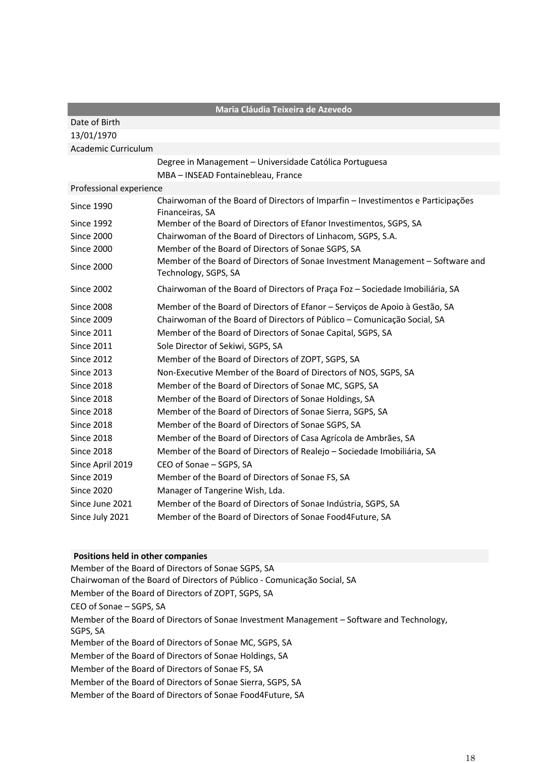| Maria Cláudia Teixeira de Azevedo |                                                                                                        |
|-----------------------------------|--------------------------------------------------------------------------------------------------------|
| Date of Birth                     |                                                                                                        |
| 13/01/1970                        |                                                                                                        |
| Academic Curriculum               |                                                                                                        |
|                                   | Degree in Management - Universidade Católica Portuguesa                                                |
|                                   | MBA - INSEAD Fontainebleau, France                                                                     |
| Professional experience           |                                                                                                        |
| <b>Since 1990</b>                 | Chairwoman of the Board of Directors of Imparfin - Investimentos e Participações<br>Financeiras, SA    |
| <b>Since 1992</b>                 | Member of the Board of Directors of Efanor Investimentos, SGPS, SA                                     |
| <b>Since 2000</b>                 | Chairwoman of the Board of Directors of Linhacom, SGPS, S.A.                                           |
| <b>Since 2000</b>                 | Member of the Board of Directors of Sonae SGPS, SA                                                     |
| <b>Since 2000</b>                 | Member of the Board of Directors of Sonae Investment Management - Software and<br>Technology, SGPS, SA |
| <b>Since 2002</b>                 | Chairwoman of the Board of Directors of Praça Foz - Sociedade Imobiliária, SA                          |
| <b>Since 2008</b>                 | Member of the Board of Directors of Efanor - Serviços de Apoio à Gestão, SA                            |
| <b>Since 2009</b>                 | Chairwoman of the Board of Directors of Público - Comunicação Social, SA                               |
| <b>Since 2011</b>                 | Member of the Board of Directors of Sonae Capital, SGPS, SA                                            |
| <b>Since 2011</b>                 | Sole Director of Sekiwi, SGPS, SA                                                                      |
| <b>Since 2012</b>                 | Member of the Board of Directors of ZOPT, SGPS, SA                                                     |
| <b>Since 2013</b>                 | Non-Executive Member of the Board of Directors of NOS, SGPS, SA                                        |
| <b>Since 2018</b>                 | Member of the Board of Directors of Sonae MC, SGPS, SA                                                 |
| <b>Since 2018</b>                 | Member of the Board of Directors of Sonae Holdings, SA                                                 |
| <b>Since 2018</b>                 | Member of the Board of Directors of Sonae Sierra, SGPS, SA                                             |
| <b>Since 2018</b>                 | Member of the Board of Directors of Sonae SGPS, SA                                                     |
| <b>Since 2018</b>                 | Member of the Board of Directors of Casa Agrícola de Ambrães, SA                                       |
| <b>Since 2018</b>                 | Member of the Board of Directors of Realejo - Sociedade Imobiliária, SA                                |
| Since April 2019                  | CEO of Sonae - SGPS, SA                                                                                |
| <b>Since 2019</b>                 | Member of the Board of Directors of Sonae FS, SA                                                       |
| <b>Since 2020</b>                 | Manager of Tangerine Wish, Lda.                                                                        |
| Since June 2021                   | Member of the Board of Directors of Sonae Indústria, SGPS, SA                                          |
| Since July 2021                   | Member of the Board of Directors of Sonae Food4Future, SA                                              |

Member of the Board of Directors of Sonae SGPS, SA Chairwoman of the Board of Directors of Público - Comunicação Social, SA Member of the Board of Directors of ZOPT, SGPS, SA CEO of Sonae – SGPS, SA Member of the Board of Directors of Sonae Investment Management – Software and Technology, SGPS, SA Member of the Board of Directors of Sonae MC, SGPS, SA Member of the Board of Directors of Sonae Holdings, SA Member of the Board of Directors of Sonae FS, SA Member of the Board of Directors of Sonae Sierra, SGPS, SA Member of the Board of Directors of Sonae Food4Future, SA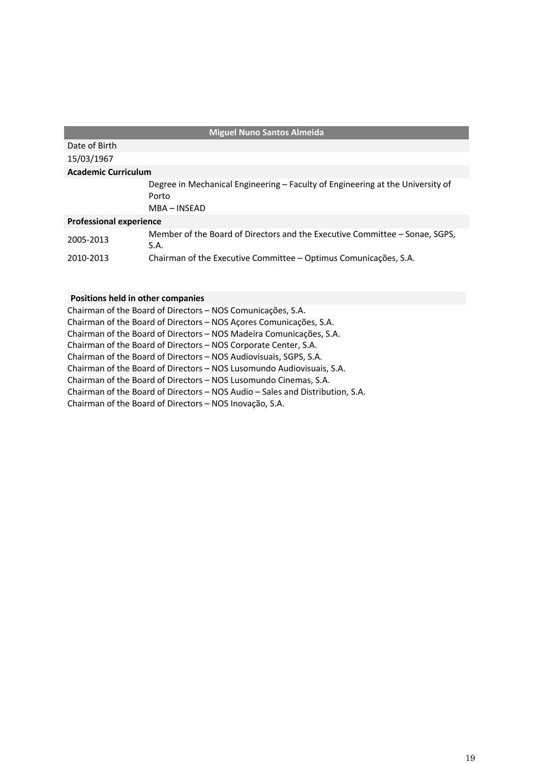| <b>Miguel Nuno Santos Almeida</b> |                                                                                                         |
|-----------------------------------|---------------------------------------------------------------------------------------------------------|
| Date of Birth                     |                                                                                                         |
| 15/03/1967                        |                                                                                                         |
| <b>Academic Curriculum</b>        |                                                                                                         |
|                                   | Degree in Mechanical Engineering - Faculty of Engineering at the University of<br>Porto<br>MBA - INSEAD |
| <b>Professional experience</b>    |                                                                                                         |
| 2005-2013                         | Member of the Board of Directors and the Executive Committee – Sonae, SGPS,<br>S.A.                     |
| 2010-2013                         | Chairman of the Executive Committee – Optimus Comunicações, S.A.                                        |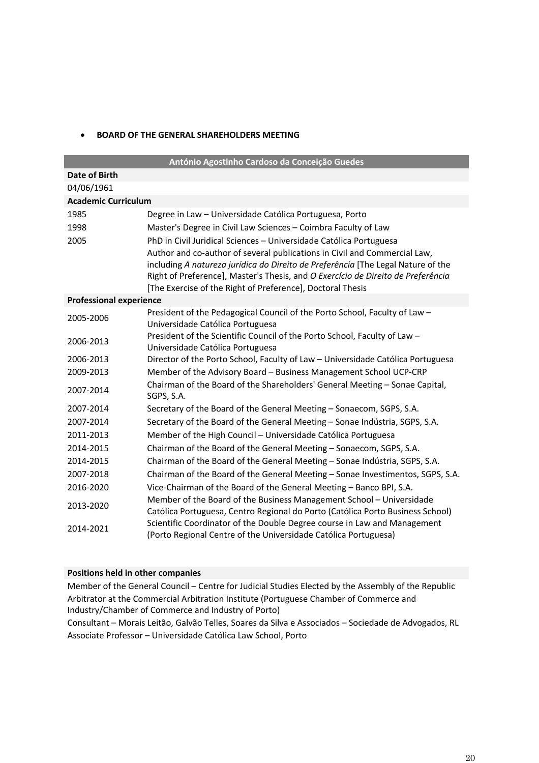### • **BOARD OF THE GENERAL SHAREHOLDERS MEETING**

| António Agostinho Cardoso da Conceição Guedes |                                                                                                                                                                                                                                                                                                                 |  |
|-----------------------------------------------|-----------------------------------------------------------------------------------------------------------------------------------------------------------------------------------------------------------------------------------------------------------------------------------------------------------------|--|
| Date of Birth                                 |                                                                                                                                                                                                                                                                                                                 |  |
| 04/06/1961                                    |                                                                                                                                                                                                                                                                                                                 |  |
| <b>Academic Curriculum</b>                    |                                                                                                                                                                                                                                                                                                                 |  |
| 1985                                          | Degree in Law - Universidade Católica Portuguesa, Porto                                                                                                                                                                                                                                                         |  |
| 1998                                          | Master's Degree in Civil Law Sciences - Coimbra Faculty of Law                                                                                                                                                                                                                                                  |  |
| 2005                                          | PhD in Civil Juridical Sciences - Universidade Católica Portuguesa                                                                                                                                                                                                                                              |  |
|                                               | Author and co-author of several publications in Civil and Commercial Law,<br>including A natureza jurídica do Direito de Preferência [The Legal Nature of the<br>Right of Preference], Master's Thesis, and O Exercício de Direito de Preferência<br>[The Exercise of the Right of Preference], Doctoral Thesis |  |
| <b>Professional experience</b>                |                                                                                                                                                                                                                                                                                                                 |  |
| 2005-2006                                     | President of the Pedagogical Council of the Porto School, Faculty of Law -<br>Universidade Católica Portuguesa                                                                                                                                                                                                  |  |
| 2006-2013                                     | President of the Scientific Council of the Porto School, Faculty of Law -<br>Universidade Católica Portuguesa                                                                                                                                                                                                   |  |
| 2006-2013                                     | Director of the Porto School, Faculty of Law - Universidade Católica Portuguesa                                                                                                                                                                                                                                 |  |
| 2009-2013                                     | Member of the Advisory Board - Business Management School UCP-CRP                                                                                                                                                                                                                                               |  |
| 2007-2014                                     | Chairman of the Board of the Shareholders' General Meeting - Sonae Capital,<br>SGPS, S.A.                                                                                                                                                                                                                       |  |
| 2007-2014                                     | Secretary of the Board of the General Meeting - Sonaecom, SGPS, S.A.                                                                                                                                                                                                                                            |  |
| 2007-2014                                     | Secretary of the Board of the General Meeting - Sonae Indústria, SGPS, S.A.                                                                                                                                                                                                                                     |  |
| 2011-2013                                     | Member of the High Council - Universidade Católica Portuguesa                                                                                                                                                                                                                                                   |  |
| 2014-2015                                     | Chairman of the Board of the General Meeting - Sonaecom, SGPS, S.A.                                                                                                                                                                                                                                             |  |
| 2014-2015                                     | Chairman of the Board of the General Meeting - Sonae Indústria, SGPS, S.A.                                                                                                                                                                                                                                      |  |
| 2007-2018                                     | Chairman of the Board of the General Meeting - Sonae Investimentos, SGPS, S.A.                                                                                                                                                                                                                                  |  |
| 2016-2020                                     | Vice-Chairman of the Board of the General Meeting - Banco BPI, S.A.                                                                                                                                                                                                                                             |  |
| 2013-2020                                     | Member of the Board of the Business Management School - Universidade<br>Católica Portuguesa, Centro Regional do Porto (Católica Porto Business School)                                                                                                                                                          |  |
| 2014-2021                                     | Scientific Coordinator of the Double Degree course in Law and Management<br>(Porto Regional Centre of the Universidade Católica Portuguesa)                                                                                                                                                                     |  |

## **Positions held in other companies**

Member of the General Council – Centre for Judicial Studies Elected by the Assembly of the Republic Arbitrator at the Commercial Arbitration Institute (Portuguese Chamber of Commerce and Industry/Chamber of Commerce and Industry of Porto)

Consultant – Morais Leitão, Galvão Telles, Soares da Silva e Associados – Sociedade de Advogados, RL Associate Professor – Universidade Católica Law School, Porto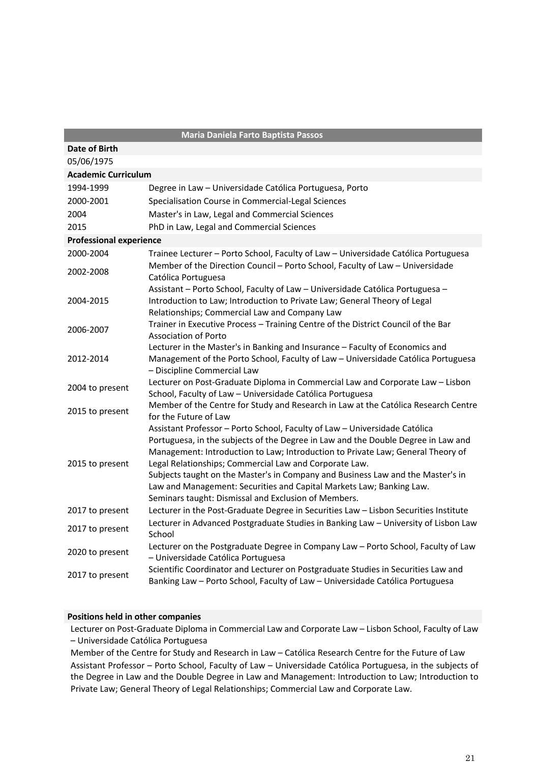| <b>Maria Daniela Farto Baptista Passos</b> |                                                                                                                                                                                                                                                                                                                                                                                                                                                                                                                                 |
|--------------------------------------------|---------------------------------------------------------------------------------------------------------------------------------------------------------------------------------------------------------------------------------------------------------------------------------------------------------------------------------------------------------------------------------------------------------------------------------------------------------------------------------------------------------------------------------|
| Date of Birth                              |                                                                                                                                                                                                                                                                                                                                                                                                                                                                                                                                 |
| 05/06/1975                                 |                                                                                                                                                                                                                                                                                                                                                                                                                                                                                                                                 |
| <b>Academic Curriculum</b>                 |                                                                                                                                                                                                                                                                                                                                                                                                                                                                                                                                 |
| 1994-1999                                  | Degree in Law - Universidade Católica Portuguesa, Porto                                                                                                                                                                                                                                                                                                                                                                                                                                                                         |
| 2000-2001                                  | Specialisation Course in Commercial-Legal Sciences                                                                                                                                                                                                                                                                                                                                                                                                                                                                              |
| 2004                                       | Master's in Law, Legal and Commercial Sciences                                                                                                                                                                                                                                                                                                                                                                                                                                                                                  |
| 2015                                       | PhD in Law, Legal and Commercial Sciences                                                                                                                                                                                                                                                                                                                                                                                                                                                                                       |
| <b>Professional experience</b>             |                                                                                                                                                                                                                                                                                                                                                                                                                                                                                                                                 |
| 2000-2004                                  | Trainee Lecturer - Porto School, Faculty of Law - Universidade Católica Portuguesa                                                                                                                                                                                                                                                                                                                                                                                                                                              |
| 2002-2008                                  | Member of the Direction Council - Porto School, Faculty of Law - Universidade<br>Católica Portuguesa                                                                                                                                                                                                                                                                                                                                                                                                                            |
| 2004-2015                                  | Assistant - Porto School, Faculty of Law - Universidade Católica Portuguesa -<br>Introduction to Law; Introduction to Private Law; General Theory of Legal<br>Relationships; Commercial Law and Company Law                                                                                                                                                                                                                                                                                                                     |
| 2006-2007                                  | Trainer in Executive Process - Training Centre of the District Council of the Bar<br><b>Association of Porto</b>                                                                                                                                                                                                                                                                                                                                                                                                                |
| 2012-2014                                  | Lecturer in the Master's in Banking and Insurance - Faculty of Economics and<br>Management of the Porto School, Faculty of Law - Universidade Católica Portuguesa<br>- Discipline Commercial Law                                                                                                                                                                                                                                                                                                                                |
| 2004 to present                            | Lecturer on Post-Graduate Diploma in Commercial Law and Corporate Law - Lisbon<br>School, Faculty of Law - Universidade Católica Portuguesa                                                                                                                                                                                                                                                                                                                                                                                     |
| 2015 to present                            | Member of the Centre for Study and Research in Law at the Católica Research Centre<br>for the Future of Law                                                                                                                                                                                                                                                                                                                                                                                                                     |
| 2015 to present                            | Assistant Professor - Porto School, Faculty of Law - Universidade Católica<br>Portuguesa, in the subjects of the Degree in Law and the Double Degree in Law and<br>Management: Introduction to Law; Introduction to Private Law; General Theory of<br>Legal Relationships; Commercial Law and Corporate Law.<br>Subjects taught on the Master's in Company and Business Law and the Master's in<br>Law and Management: Securities and Capital Markets Law; Banking Law.<br>Seminars taught: Dismissal and Exclusion of Members. |
| 2017 to present                            | Lecturer in the Post-Graduate Degree in Securities Law - Lisbon Securities Institute                                                                                                                                                                                                                                                                                                                                                                                                                                            |
| 2017 to present                            | Lecturer in Advanced Postgraduate Studies in Banking Law - University of Lisbon Law<br>School                                                                                                                                                                                                                                                                                                                                                                                                                                   |
| 2020 to present                            | Lecturer on the Postgraduate Degree in Company Law - Porto School, Faculty of Law<br>- Universidade Católica Portuguesa                                                                                                                                                                                                                                                                                                                                                                                                         |
| 2017 to present                            | Scientific Coordinator and Lecturer on Postgraduate Studies in Securities Law and<br>Banking Law - Porto School, Faculty of Law - Universidade Católica Portuguesa                                                                                                                                                                                                                                                                                                                                                              |

Lecturer on Post-Graduate Diploma in Commercial Law and Corporate Law – Lisbon School, Faculty of Law – Universidade Católica Portuguesa

Member of the Centre for Study and Research in Law – Católica Research Centre for the Future of Law Assistant Professor – Porto School, Faculty of Law – Universidade Católica Portuguesa, in the subjects of the Degree in Law and the Double Degree in Law and Management: Introduction to Law; Introduction to Private Law; General Theory of Legal Relationships; Commercial Law and Corporate Law.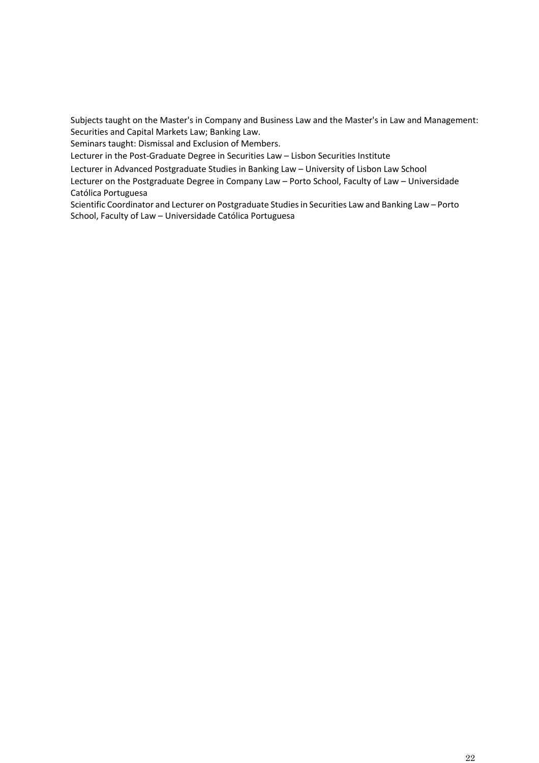Subjects taught on the Master's in Company and Business Law and the Master's in Law and Management: Securities and Capital Markets Law; Banking Law.

Seminars taught: Dismissal and Exclusion of Members.

Lecturer in the Post-Graduate Degree in Securities Law – Lisbon Securities Institute

Lecturer in Advanced Postgraduate Studies in Banking Law – University of Lisbon Law School

Lecturer on the Postgraduate Degree in Company Law – Porto School, Faculty of Law – Universidade Católica Portuguesa

Scientific Coordinator and Lecturer on Postgraduate Studies in Securities Law and Banking Law – Porto School, Faculty of Law – Universidade Católica Portuguesa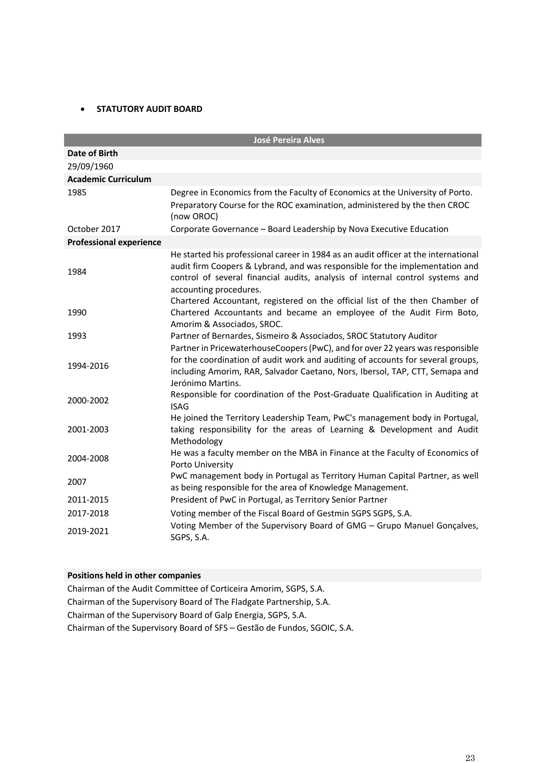## • **STATUTORY AUDIT BOARD**

|                                | <b>José Pereira Alves</b>                                                                                                                                                                                                                                                      |
|--------------------------------|--------------------------------------------------------------------------------------------------------------------------------------------------------------------------------------------------------------------------------------------------------------------------------|
| <b>Date of Birth</b>           |                                                                                                                                                                                                                                                                                |
| 29/09/1960                     |                                                                                                                                                                                                                                                                                |
| <b>Academic Curriculum</b>     |                                                                                                                                                                                                                                                                                |
| 1985                           | Degree in Economics from the Faculty of Economics at the University of Porto.<br>Preparatory Course for the ROC examination, administered by the then CROC<br>(now OROC)                                                                                                       |
| October 2017                   | Corporate Governance - Board Leadership by Nova Executive Education                                                                                                                                                                                                            |
| <b>Professional experience</b> |                                                                                                                                                                                                                                                                                |
| 1984                           | He started his professional career in 1984 as an audit officer at the international<br>audit firm Coopers & Lybrand, and was responsible for the implementation and<br>control of several financial audits, analysis of internal control systems and<br>accounting procedures. |
| 1990                           | Chartered Accountant, registered on the official list of the then Chamber of<br>Chartered Accountants and became an employee of the Audit Firm Boto,<br>Amorim & Associados, SROC.                                                                                             |
| 1993                           | Partner of Bernardes, Sismeiro & Associados, SROC Statutory Auditor                                                                                                                                                                                                            |
| 1994-2016                      | Partner in PricewaterhouseCoopers (PwC), and for over 22 years was responsible<br>for the coordination of audit work and auditing of accounts for several groups,<br>including Amorim, RAR, Salvador Caetano, Nors, Ibersol, TAP, CTT, Semapa and<br>Jerónimo Martins.         |
| 2000-2002                      | Responsible for coordination of the Post-Graduate Qualification in Auditing at<br><b>ISAG</b>                                                                                                                                                                                  |
| 2001-2003                      | He joined the Territory Leadership Team, PwC's management body in Portugal,<br>taking responsibility for the areas of Learning & Development and Audit<br>Methodology                                                                                                          |
| 2004-2008                      | He was a faculty member on the MBA in Finance at the Faculty of Economics of<br>Porto University                                                                                                                                                                               |
| 2007                           | PwC management body in Portugal as Territory Human Capital Partner, as well<br>as being responsible for the area of Knowledge Management.                                                                                                                                      |
| 2011-2015                      | President of PwC in Portugal, as Territory Senior Partner                                                                                                                                                                                                                      |
| 2017-2018                      | Voting member of the Fiscal Board of Gestmin SGPS SGPS, S.A.                                                                                                                                                                                                                   |
| 2019-2021                      | Voting Member of the Supervisory Board of GMG - Grupo Manuel Gonçalves,<br>SGPS, S.A.                                                                                                                                                                                          |

## **Positions held in other companies**

Chairman of the Audit Committee of Corticeira Amorim, SGPS, S.A. Chairman of the Supervisory Board of The Fladgate Partnership, S.A. Chairman of the Supervisory Board of Galp Energia, SGPS, S.A. Chairman of the Supervisory Board of SFS – Gestão de Fundos, SGOIC, S.A.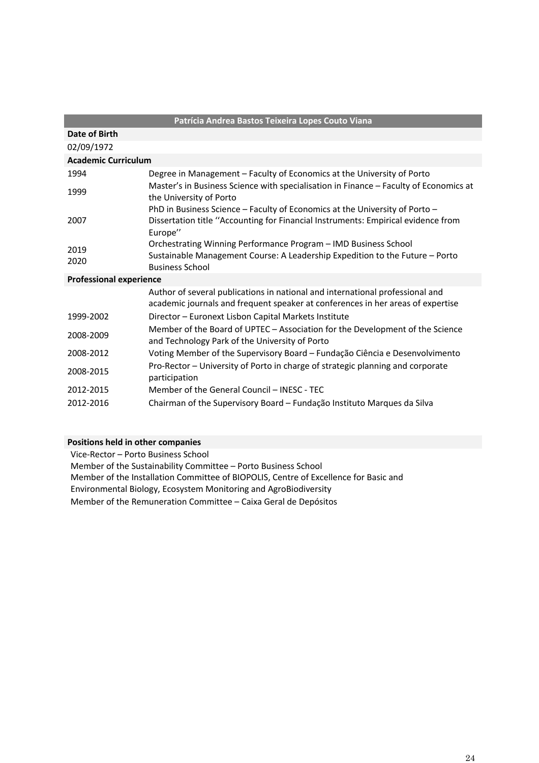| Patrícia Andrea Bastos Teixeira Lopes Couto Viana |                                                                                                                                                                  |  |  |  |
|---------------------------------------------------|------------------------------------------------------------------------------------------------------------------------------------------------------------------|--|--|--|
| Date of Birth                                     |                                                                                                                                                                  |  |  |  |
| 02/09/1972                                        |                                                                                                                                                                  |  |  |  |
| <b>Academic Curriculum</b>                        |                                                                                                                                                                  |  |  |  |
| 1994                                              | Degree in Management - Faculty of Economics at the University of Porto                                                                                           |  |  |  |
| 1999                                              | Master's in Business Science with specialisation in Finance – Faculty of Economics at<br>the University of Porto                                                 |  |  |  |
|                                                   | PhD in Business Science - Faculty of Economics at the University of Porto -                                                                                      |  |  |  |
| 2007                                              | Dissertation title "Accounting for Financial Instruments: Empirical evidence from<br>Europe"                                                                     |  |  |  |
| 2019                                              | Orchestrating Winning Performance Program - IMD Business School                                                                                                  |  |  |  |
| 2020                                              | Sustainable Management Course: A Leadership Expedition to the Future - Porto<br><b>Business School</b>                                                           |  |  |  |
| <b>Professional experience</b>                    |                                                                                                                                                                  |  |  |  |
|                                                   | Author of several publications in national and international professional and<br>academic journals and frequent speaker at conferences in her areas of expertise |  |  |  |
| 1999-2002                                         | Director - Euronext Lisbon Capital Markets Institute                                                                                                             |  |  |  |
| 2008-2009                                         | Member of the Board of UPTEC – Association for the Development of the Science<br>and Technology Park of the University of Porto                                  |  |  |  |
| 2008-2012                                         | Voting Member of the Supervisory Board – Fundação Ciência e Desenvolvimento                                                                                      |  |  |  |
| 2008-2015                                         | Pro-Rector – University of Porto in charge of strategic planning and corporate<br>participation                                                                  |  |  |  |
| 2012-2015                                         | Member of the General Council – INESC - TEC                                                                                                                      |  |  |  |
| 2012-2016                                         | Chairman of the Supervisory Board – Fundação Instituto Marques da Silva                                                                                          |  |  |  |
|                                                   |                                                                                                                                                                  |  |  |  |

Vice-Rector – Porto Business School

Member of the Sustainability Committee – Porto Business School

Member of the Installation Committee of BIOPOLIS, Centre of Excellence for Basic and

Environmental Biology, Ecosystem Monitoring and AgroBiodiversity

Member of the Remuneration Committee – Caixa Geral de Depósitos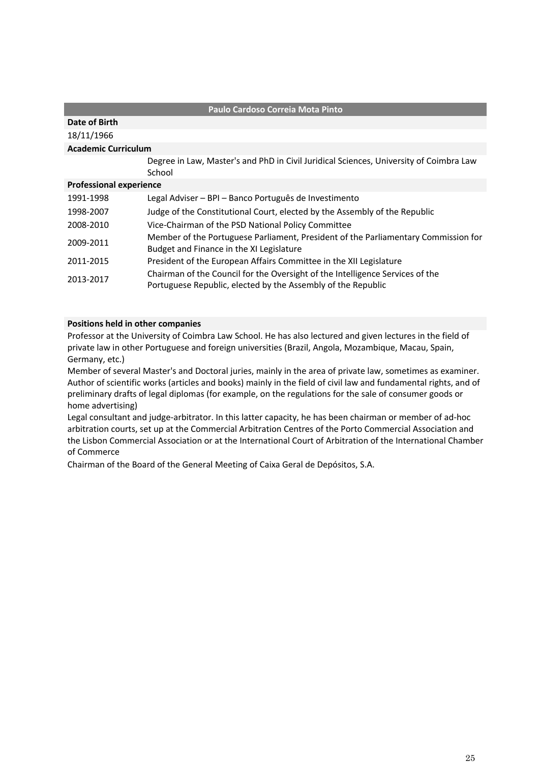| Paulo Cardoso Correia Mota Pinto |                                                                                                                                               |  |  |
|----------------------------------|-----------------------------------------------------------------------------------------------------------------------------------------------|--|--|
| Date of Birth                    |                                                                                                                                               |  |  |
| 18/11/1966                       |                                                                                                                                               |  |  |
| <b>Academic Curriculum</b>       |                                                                                                                                               |  |  |
|                                  | Degree in Law, Master's and PhD in Civil Juridical Sciences, University of Coimbra Law<br>School                                              |  |  |
| <b>Professional experience</b>   |                                                                                                                                               |  |  |
| 1991-1998                        | Legal Adviser - BPI - Banco Português de Investimento                                                                                         |  |  |
| 1998-2007                        | Judge of the Constitutional Court, elected by the Assembly of the Republic                                                                    |  |  |
| 2008-2010                        | Vice-Chairman of the PSD National Policy Committee                                                                                            |  |  |
| 2009-2011                        | Member of the Portuguese Parliament, President of the Parliamentary Commission for<br>Budget and Finance in the XI Legislature                |  |  |
| 2011-2015                        | President of the European Affairs Committee in the XII Legislature                                                                            |  |  |
| 2013-2017                        | Chairman of the Council for the Oversight of the Intelligence Services of the<br>Portuguese Republic, elected by the Assembly of the Republic |  |  |

Professor at the University of Coimbra Law School. He has also lectured and given lectures in the field of private law in other Portuguese and foreign universities (Brazil, Angola, Mozambique, Macau, Spain, Germany, etc.)

Member of several Master's and Doctoral juries, mainly in the area of private law, sometimes as examiner. Author of scientific works (articles and books) mainly in the field of civil law and fundamental rights, and of preliminary drafts of legal diplomas (for example, on the regulations for the sale of consumer goods or home advertising)

Legal consultant and judge-arbitrator. In this latter capacity, he has been chairman or member of ad-hoc arbitration courts, set up at the Commercial Arbitration Centres of the Porto Commercial Association and the Lisbon Commercial Association or at the International Court of Arbitration of the International Chamber of Commerce

Chairman of the Board of the General Meeting of Caixa Geral de Depósitos, S.A.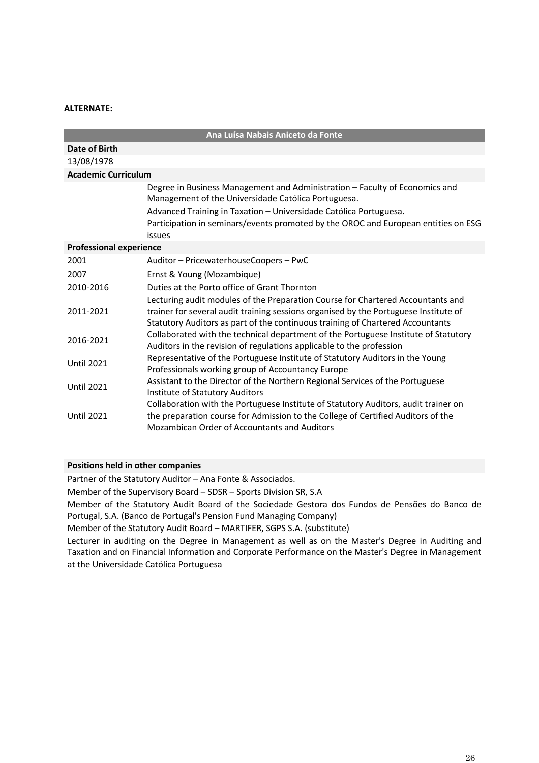#### **ALTERNATE:**

| Ana Luísa Nabais Aniceto da Fonte |                                                                                                                                                                                                                                                                                               |  |
|-----------------------------------|-----------------------------------------------------------------------------------------------------------------------------------------------------------------------------------------------------------------------------------------------------------------------------------------------|--|
| Date of Birth                     |                                                                                                                                                                                                                                                                                               |  |
| 13/08/1978                        |                                                                                                                                                                                                                                                                                               |  |
| <b>Academic Curriculum</b>        |                                                                                                                                                                                                                                                                                               |  |
|                                   | Degree in Business Management and Administration - Faculty of Economics and<br>Management of the Universidade Católica Portuguesa.<br>Advanced Training in Taxation - Universidade Católica Portuguesa.<br>Participation in seminars/events promoted by the OROC and European entities on ESG |  |
| <b>Professional experience</b>    | issues                                                                                                                                                                                                                                                                                        |  |
| 2001                              | Auditor - PricewaterhouseCoopers - PwC                                                                                                                                                                                                                                                        |  |
| 2007                              | Ernst & Young (Mozambique)                                                                                                                                                                                                                                                                    |  |
| 2010-2016                         | Duties at the Porto office of Grant Thornton                                                                                                                                                                                                                                                  |  |
| 2011-2021                         | Lecturing audit modules of the Preparation Course for Chartered Accountants and<br>trainer for several audit training sessions organised by the Portuguese Institute of<br>Statutory Auditors as part of the continuous training of Chartered Accountants                                     |  |
| 2016-2021                         | Collaborated with the technical department of the Portuguese Institute of Statutory<br>Auditors in the revision of regulations applicable to the profession                                                                                                                                   |  |
| <b>Until 2021</b>                 | Representative of the Portuguese Institute of Statutory Auditors in the Young<br>Professionals working group of Accountancy Europe                                                                                                                                                            |  |
| <b>Until 2021</b>                 | Assistant to the Director of the Northern Regional Services of the Portuguese<br>Institute of Statutory Auditors                                                                                                                                                                              |  |
| <b>Until 2021</b>                 | Collaboration with the Portuguese Institute of Statutory Auditors, audit trainer on<br>the preparation course for Admission to the College of Certified Auditors of the<br>Mozambican Order of Accountants and Auditors                                                                       |  |

## **Positions held in other companies**

Partner of the Statutory Auditor – Ana Fonte & Associados.

Member of the Supervisory Board – SDSR – Sports Division SR, S.A

Member of the Statutory Audit Board of the Sociedade Gestora dos Fundos de Pensões do Banco de Portugal, S.A. (Banco de Portugal's Pension Fund Managing Company)

Member of the Statutory Audit Board – MARTIFER, SGPS S.A. (substitute)

Lecturer in auditing on the Degree in Management as well as on the Master's Degree in Auditing and Taxation and on Financial Information and Corporate Performance on the Master's Degree in Management at the Universidade Católica Portuguesa